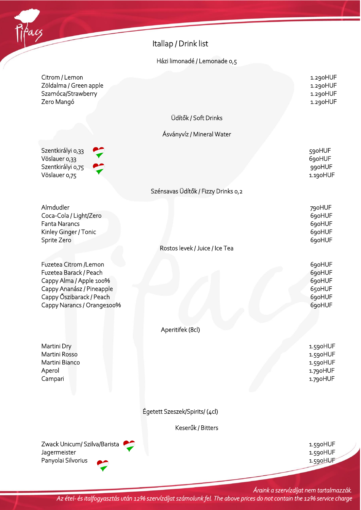

Citrom / Lemon 1.290HUF Zöldalma / Green apple 1.290HUF Szamóca/Strawberry 1.290HUF Zero Mangó 1.290HUF

Szentkirályi 0,33 **600 km** Vöslauer 0,33 690HUF Szentkirályi 0,75  $\bullet$ Vöslauer 0,75 **1.190HUF** 

Almdudler 790HUF Coca-Cola / Light/Zero 690HUF Fanta Narancs 690HUF Kinley Ginger / Tonic 690HUF Sprite Zero 690HUF

Fuzetea Citrom /Lemon 690HUF Fuzetea Barack / Peach 690HUF Cappy Alma / Apple 100% 690HUF Cappy Ananász / Pineapple 650HUF Cappy Őszibarack / Peach 690HUF Cappy Narancs / Orange100% 690HUF

Martini Dry 1.590HUF Martini Rosso and the control of the control of the control of the control of the control of the control of the control of the control of the control of the control of the control of the control of the control of the contr Martini Bianco 2.590 HUF Aperol 1.790HUF

Itallap / Drink list

## Házi limonadé / Lemonade 0,5

Üdítők / Soft Drinks

Ásványvíz / Mineral Water

## Szénsavas Üdítők / Fizzy Drinks 0,2

Rostos levek / Juice / Ice Tea

Aperitifek (8cl)

Campari 1.790HUF

Égetett Szeszek/Spirits/ (4cl)

Keserűk / Bitters

Zwack Unicum/ Szilva/Barista 2008 1.590HUF Jagermeister 1.590HUF Panyolai Silvorius **1.590HUF** 

*Áraink a szervízdíjat nem tartalmazzák. Az étel- és italfogyasztás után 12% szervízdíjat számolunk fel. The above prices do not contain the 12% service charge*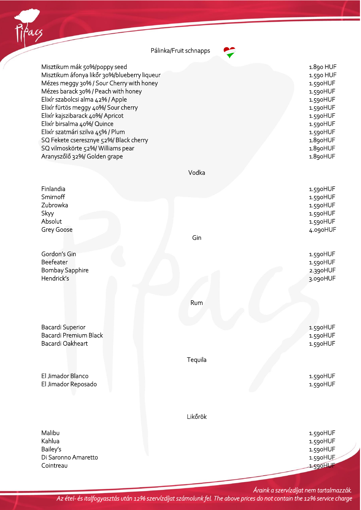

*Áraink a szervízdíjat nem tartalmazzák. Az étel- és italfogyasztás után 12% szervízdíjat számolunk fel. The above prices do not contain the 12% service charge*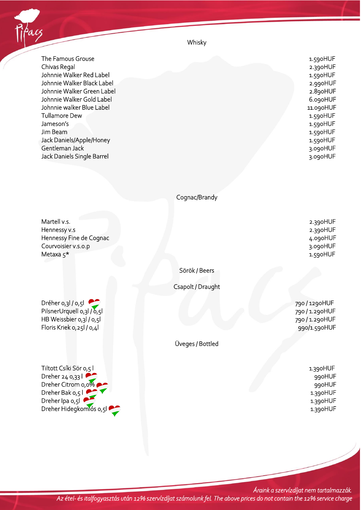

The Famous Grouse 1.590HUF Chivas Regal 2.390HUF Johnnie Walker Red Label 1.590HUF Johnnie Walker Black Label 2.990HUF Johnnie Walker Green Label 2.890HUF Johnnie Walker Gold Label 6.090HUF Johnnie walker Blue Label 11.090HUF Tullamore Dew 1.590HUF Jameson's 1.590HUF Jim Beam 1.590HUF Jack Daniels/Apple/Honey 1.590HUF Gentleman Jack 3.090HUF Jack Daniels Single Barrel 3.090HUF

Whisky

## Cognac/Brandy

Martell v.s. 2.390HUF Hennessy v.s 2.390HUF Hennessy Fine de Cognac 4.090HUF Courvoisier v.s.o.p 3.090HUF Metaxa 5\* 1.590HUF

Sörök / Beers

Csapolt / Draught

Dréher 0,3l / 0,5l 790 / 1290HUF PilsnerUrquell 0,3l / 0,5l 790 / 1.290HUF HB Weissbier 0,3l / 0,5l 790 / 1.290HUF Floris Kriek 0,25l / 0,4l 990/1.590HUF

Tiltott Csíki Sör 0,5 l 1.390HUF Dreher 24 0,33 l  $\bullet$  990HUF Dreher Citrom 0,0%  $\bullet$ Dreher Bak 0,5 l  $\bullet$  1.390HUF Dreher Ipa 0,5l 2.390HUF Dreher Hidegkomlós 0,5l  $\bullet$ 

Üveges / Bottled

*Áraink a szervízdíjat nem tartalmazzák. Az étel- és italfogyasztás után 12% szervízdíjat számolunk fel. The above prices do not contain the 12% service charge*